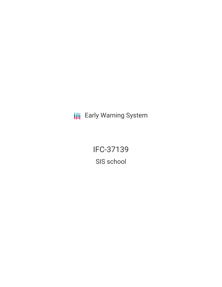**III** Early Warning System

IFC-37139 SIS school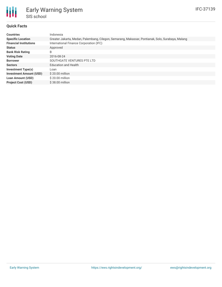

## **Quick Facts**

| <b>Countries</b>               | Indonesia                                                                                         |
|--------------------------------|---------------------------------------------------------------------------------------------------|
| <b>Specific Location</b>       | Greater Jakarta, Medan, Palembang, Cilegon, Semarang, Makassar, Pontianak, Solo, Surabaya, Malang |
| <b>Financial Institutions</b>  | International Finance Corporation (IFC)                                                           |
| <b>Status</b>                  | Approved                                                                                          |
| <b>Bank Risk Rating</b>        | B                                                                                                 |
| <b>Voting Date</b>             | 2016-08-24                                                                                        |
| <b>Borrower</b>                | SOUTHGATE VENTURES PTE LTD                                                                        |
| <b>Sectors</b>                 | <b>Education and Health</b>                                                                       |
| <b>Investment Type(s)</b>      | Loan                                                                                              |
| <b>Investment Amount (USD)</b> | \$20.00 million                                                                                   |
| <b>Loan Amount (USD)</b>       | $$20.00$ million                                                                                  |
| <b>Project Cost (USD)</b>      | $$38.00$ million                                                                                  |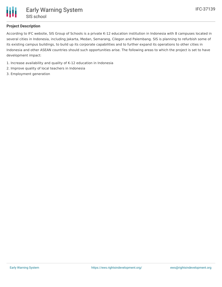

## **Project Description**

According to IFC website, SIS Group of Schools is a private K-12 education institution in Indonesia with 8 campuses located in several cities in Indonesia, including Jakarta, Medan, Semarang, Cilegon and Palembang. SIS is planning to refurbish some of its existing campus buildings, to build up its corporate capabilities and to further expand its operations to other cities in Indonesia and other ASEAN countries should such opportunities arise. The following areas to which the project is set to have development impact:

- 1. Increase availability and quality of K-12 education in Indonesia
- 2. Improve quality of local teachers in Indonesia
- 3. Employment generation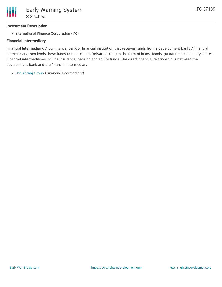## **Investment Description**

• International Finance Corporation (IFC)

#### **Financial Intermediary**

Financial Intermediary: A commercial bank or financial institution that receives funds from a development bank. A financial intermediary then lends these funds to their clients (private actors) in the form of loans, bonds, guarantees and equity shares. Financial intermediaries include insurance, pension and equity funds. The direct financial relationship is between the development bank and the financial intermediary.

The [Abraaj](file:///actor/1149/) Group (Financial Intermediary)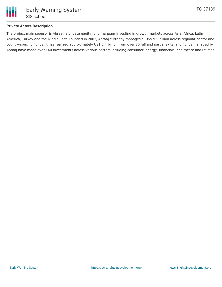

## **Private Actors Description**

The project main sponsor is Abraaj, a private equity fund manager investing in growth markets across Asia, Africa, Latin America, Turkey and the Middle East. Founded in 2002, Abraaj currently manages c. US\$ 9.5 billion across regional, sector and country-specific Funds. It has realized approximately US\$ 5.4 billion from over 80 full and partial exits, and Funds managed by Abraaj have made over 140 investments across various sectors including consumer, energy, financials, healthcare and utilities.